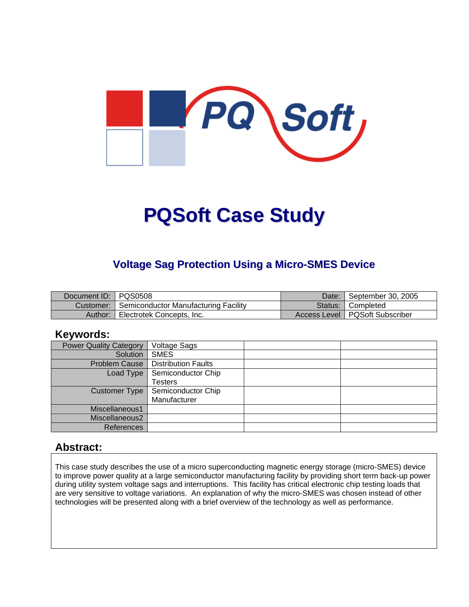

# **PQSoft Case Study**

## **Voltage Sag Protection Using a Micro-SMES Device**

| Document ID:   PQS0508 |                                      | Date: September 30, 2005         |
|------------------------|--------------------------------------|----------------------------------|
| Customer:              | Semiconductor Manufacturing Facility | Status: Completed                |
| Author:                | Electrotek Concepts, Inc.            | Access Level   PQSoft Subscriber |

#### **Keywords:**

| <b>Power Quality Category</b> | <b>Voltage Sags</b>        |  |
|-------------------------------|----------------------------|--|
| Solution                      | <b>SMES</b>                |  |
| Problem Cause                 | <b>Distribution Faults</b> |  |
| Load Type                     | Semiconductor Chip         |  |
|                               | Testers                    |  |
| Customer Type                 | Semiconductor Chip         |  |
|                               | Manufacturer               |  |
| Miscellaneous1                |                            |  |
| Miscellaneous2                |                            |  |
| <b>References</b>             |                            |  |

#### **Abstract:**

This case study describes the use of a micro superconducting magnetic energy storage (micro-SMES) device to improve power quality at a large semiconductor manufacturing facility by providing short term back-up power during utility system voltage sags and interruptions. This facility has critical electronic chip testing loads that are very sensitive to voltage variations. An explanation of why the micro-SMES was chosen instead of other technologies will be presented along with a brief overview of the technology as well as performance.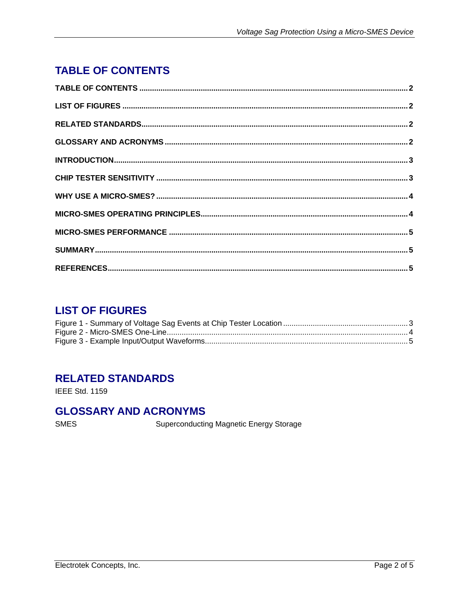# <span id="page-1-0"></span>**TABLE OF CONTENTS**

## **LIST OF FIGURES**

## **RELATED STANDARDS**

**IEEE Std. 1159** 

## **GLOSSARY AND ACRONYMS**

**SMES** 

Superconducting Magnetic Energy Storage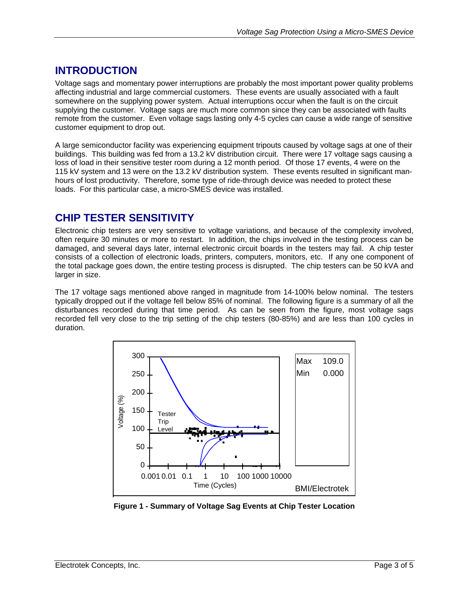## <span id="page-2-0"></span>**INTRODUCTION**

Voltage sags and momentary power interruptions are probably the most important power quality problems affecting industrial and large commercial customers. These events are usually associated with a fault somewhere on the supplying power system. Actual interruptions occur when the fault is on the circuit supplying the customer. Voltage sags are much more common since they can be associated with faults remote from the customer. Even voltage sags lasting only 4-5 cycles can cause a wide range of sensitive customer equipment to drop out.

A large semiconductor facility was experiencing equipment tripouts caused by voltage sags at one of their buildings. This building was fed from a 13.2 kV distribution circuit. There were 17 voltage sags causing a loss of load in their sensitive tester room during a 12 month period. Of those 17 events, 4 were on the 115 kV system and 13 were on the 13.2 kV distribution system. These events resulted in significant manhours of lost productivity. Therefore, some type of ride-through device was needed to protect these loads. For this particular case, a micro-SMES device was installed.

## **CHIP TESTER SENSITIVITY**

Electronic chip testers are very sensitive to voltage variations, and because of the complexity involved, often require 30 minutes or more to restart. In addition, the chips involved in the testing process can be damaged, and several days later, internal electronic circuit boards in the testers may fail. A chip tester consists of a collection of electronic loads, printers, computers, monitors, etc. If any one component of the total package goes down, the entire testing process is disrupted. The chip testers can be 50 kVA and larger in size.

The 17 voltage sags mentioned above ranged in magnitude from 14-100% below nominal. The testers typically dropped out if the voltage fell below 85% of nominal. The following figure is a summary of all the disturbances recorded during that time period. As can be seen from the figure, most voltage sags recorded fell very close to the trip setting of the chip testers (80-85%) and are less than 100 cycles in duration.



**Figure 1 - Summary of Voltage Sag Events at Chip Tester Location**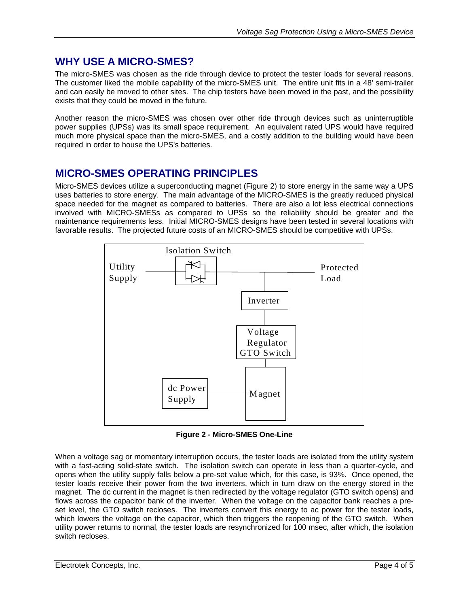## <span id="page-3-0"></span>**WHY USE A MICRO-SMES?**

The micro-SMES was chosen as the ride through device to protect the tester loads for several reasons. The customer liked the mobile capability of the micro-SMES unit. The entire unit fits in a 48' semi-trailer and can easily be moved to other sites. The chip testers have been moved in the past, and the possibility exists that they could be moved in the future.

Another reason the micro-SMES was chosen over other ride through devices such as uninterruptible power supplies (UPSs) was its small space requirement. An equivalent rated UPS would have required much more physical space than the micro-SMES, and a costly addition to the building would have been required in order to house the UPS's batteries.

## **MICRO-SMES OPERATING PRINCIPLES**

Micro-SMES devices utilize a superconducting magnet (Figure 2) to store energy in the same way a UPS uses batteries to store energy. The main advantage of the MICRO-SMES is the greatly reduced physical space needed for the magnet as compared to batteries. There are also a lot less electrical connections involved with MICRO-SMESs as compared to UPSs so the reliability should be greater and the maintenance requirements less. Initial MICRO-SMES designs have been tested in several locations with favorable results. The projected future costs of an MICRO-SMES should be competitive with UPSs.



**Figure 2 - Micro-SMES One-Line** 

When a voltage sag or momentary interruption occurs, the tester loads are isolated from the utility system with a fast-acting solid-state switch. The isolation switch can operate in less than a quarter-cycle, and opens when the utility supply falls below a pre-set value which, for this case, is 93%. Once opened, the tester loads receive their power from the two inverters, which in turn draw on the energy stored in the magnet. The dc current in the magnet is then redirected by the voltage regulator (GTO switch opens) and flows across the capacitor bank of the inverter. When the voltage on the capacitor bank reaches a preset level, the GTO switch recloses. The inverters convert this energy to ac power for the tester loads, which lowers the voltage on the capacitor, which then triggers the reopening of the GTO switch. When utility power returns to normal, the tester loads are resynchronized for 100 msec, after which, the isolation switch recloses.